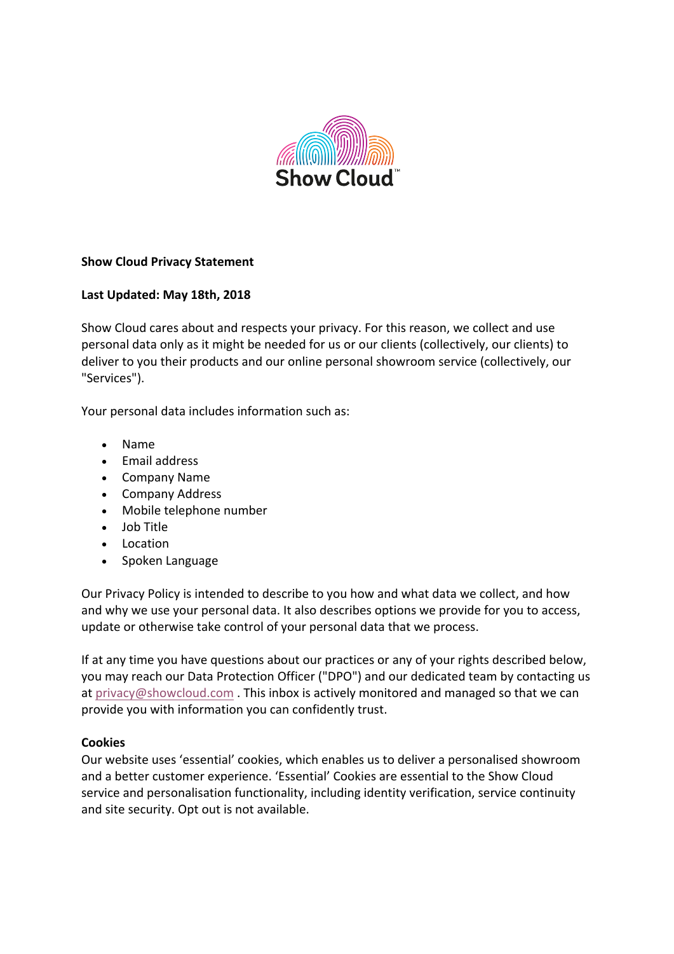

# **Show Cloud Privacy Statement**

#### Last Updated: May 18th, 2018

Show Cloud cares about and respects your privacy. For this reason, we collect and use personal data only as it might be needed for us or our clients (collectively, our clients) to deliver to you their products and our online personal showroom service (collectively, our "Services"). 

Your personal data includes information such as:

- Name
- Email address
- Company Name
- Company Address
- Mobile telephone number
- Job Title
- Location
- Spoken Language

Our Privacy Policy is intended to describe to you how and what data we collect, and how and why we use your personal data. It also describes options we provide for you to access, update or otherwise take control of your personal data that we process.

If at any time you have questions about our practices or any of your rights described below, you may reach our Data Protection Officer ("DPO") and our dedicated team by contacting us at privacy@showcloud.com. This inbox is actively monitored and managed so that we can provide you with information you can confidently trust.

#### **Cookies**

Our website uses 'essential' cookies, which enables us to deliver a personalised showroom and a better customer experience. 'Essential' Cookies are essential to the Show Cloud service and personalisation functionality, including identity verification, service continuity and site security. Opt out is not available.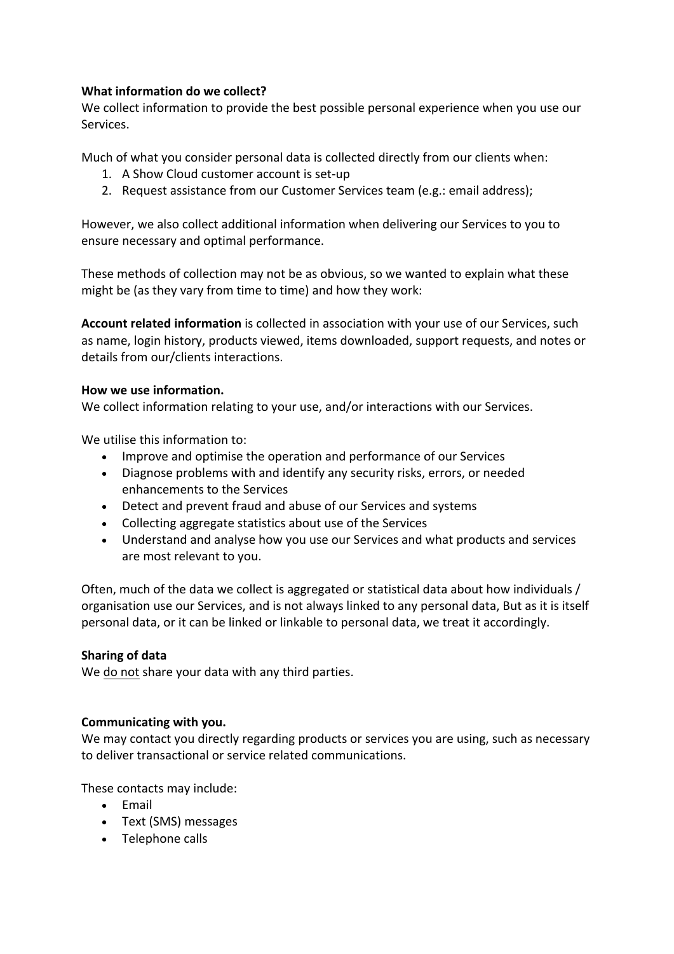## **What information do we collect?**

We collect information to provide the best possible personal experience when you use our Services. 

Much of what you consider personal data is collected directly from our clients when:

- 1. A Show Cloud customer account is set-up
- 2. Request assistance from our Customer Services team (e.g.: email address);

However, we also collect additional information when delivering our Services to you to ensure necessary and optimal performance.

These methods of collection may not be as obvious, so we wanted to explain what these might be (as they vary from time to time) and how they work:

**Account related information** is collected in association with your use of our Services, such as name, login history, products viewed, items downloaded, support requests, and notes or details from our/clients interactions.

#### **How we use information.**

We collect information relating to your use, and/or interactions with our Services.

We utilise this information to:

- Improve and optimise the operation and performance of our Services
- Diagnose problems with and identify any security risks, errors, or needed enhancements to the Services
- Detect and prevent fraud and abuse of our Services and systems
- Collecting aggregate statistics about use of the Services
- Understand and analyse how you use our Services and what products and services are most relevant to you.

Often, much of the data we collect is aggregated or statistical data about how individuals / organisation use our Services, and is not always linked to any personal data, But as it is itself personal data, or it can be linked or linkable to personal data, we treat it accordingly.

#### **Sharing of data**

We do not share your data with any third parties.

#### **Communicating with you.**

We may contact you directly regarding products or services you are using, such as necessary to deliver transactional or service related communications.

These contacts may include:

- Email
- Text (SMS) messages
- Telephone calls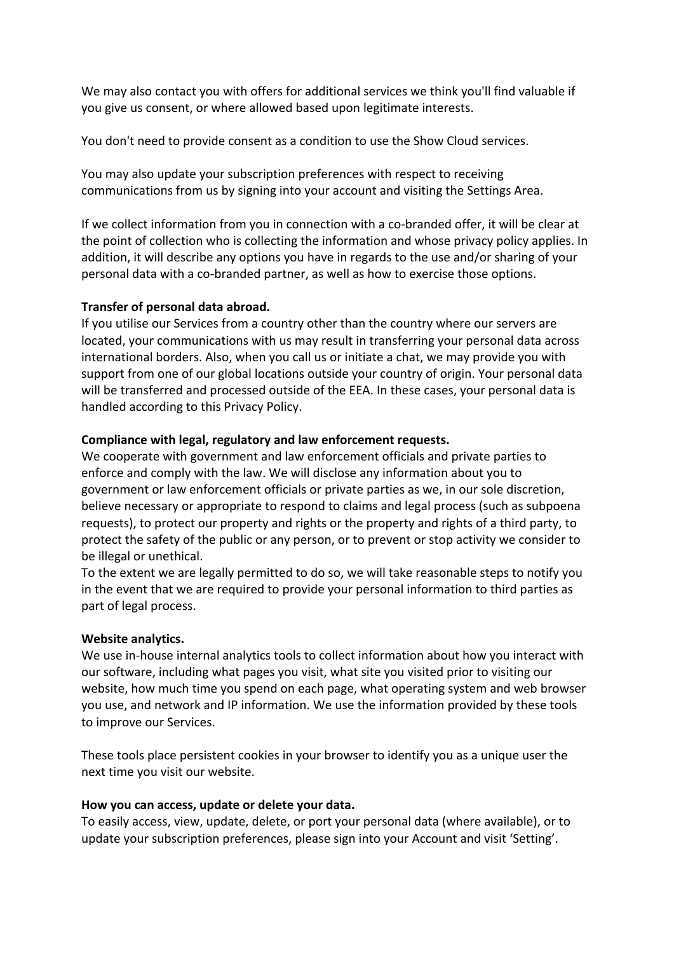We may also contact you with offers for additional services we think you'll find valuable if you give us consent, or where allowed based upon legitimate interests.

You don't need to provide consent as a condition to use the Show Cloud services.

You may also update your subscription preferences with respect to receiving communications from us by signing into your account and visiting the Settings Area.

If we collect information from you in connection with a co-branded offer, it will be clear at the point of collection who is collecting the information and whose privacy policy applies. In addition, it will describe any options you have in regards to the use and/or sharing of your personal data with a co-branded partner, as well as how to exercise those options.

## **Transfer of personal data abroad.**

If you utilise our Services from a country other than the country where our servers are located, your communications with us may result in transferring your personal data across international borders. Also, when you call us or initiate a chat, we may provide you with support from one of our global locations outside your country of origin. Your personal data will be transferred and processed outside of the EEA. In these cases, your personal data is handled according to this Privacy Policy.

## Compliance with legal, regulatory and law enforcement requests.

We cooperate with government and law enforcement officials and private parties to enforce and comply with the law. We will disclose any information about you to government or law enforcement officials or private parties as we, in our sole discretion, believe necessary or appropriate to respond to claims and legal process (such as subpoena requests), to protect our property and rights or the property and rights of a third party, to protect the safety of the public or any person, or to prevent or stop activity we consider to be illegal or unethical.

To the extent we are legally permitted to do so, we will take reasonable steps to notify you in the event that we are required to provide your personal information to third parties as part of legal process.

#### **Website analytics.**

We use in-house internal analytics tools to collect information about how you interact with our software, including what pages you visit, what site you visited prior to visiting our website, how much time you spend on each page, what operating system and web browser you use, and network and IP information. We use the information provided by these tools to improve our Services.

These tools place persistent cookies in your browser to identify you as a unique user the next time you visit our website.

#### How you can access, update or delete your data.

To easily access, view, update, delete, or port your personal data (where available), or to update your subscription preferences, please sign into your Account and visit 'Setting'.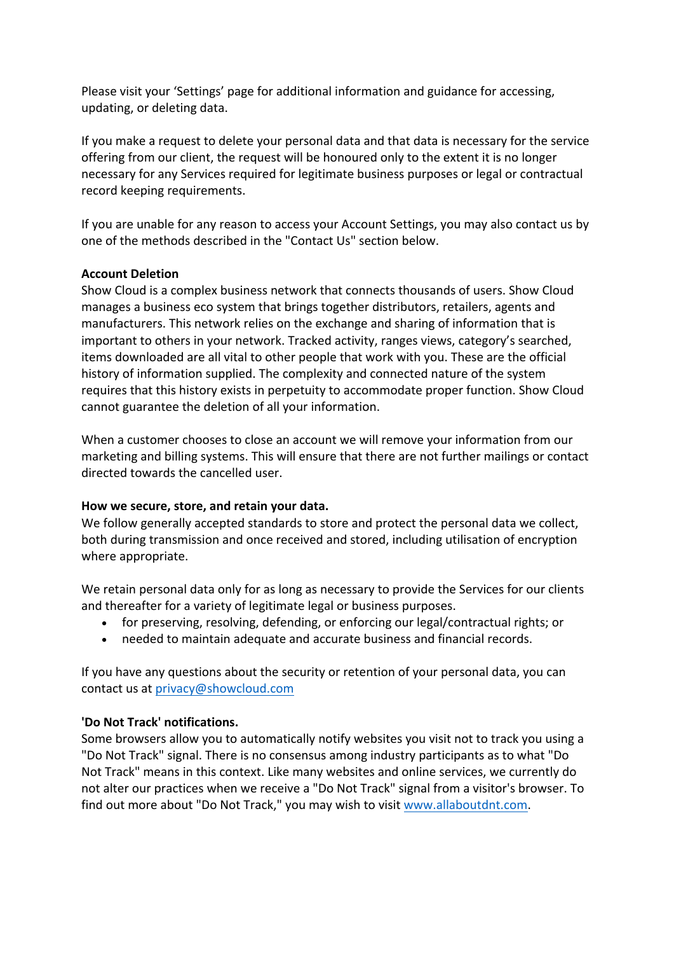Please visit your 'Settings' page for additional information and guidance for accessing, updating, or deleting data.

If you make a request to delete your personal data and that data is necessary for the service offering from our client, the request will be honoured only to the extent it is no longer necessary for any Services required for legitimate business purposes or legal or contractual record keeping requirements.

If you are unable for any reason to access your Account Settings, you may also contact us by one of the methods described in the "Contact Us" section below.

#### **Account Deletion**

Show Cloud is a complex business network that connects thousands of users. Show Cloud manages a business eco system that brings together distributors, retailers, agents and manufacturers. This network relies on the exchange and sharing of information that is important to others in your network. Tracked activity, ranges views, category's searched, items downloaded are all vital to other people that work with you. These are the official history of information supplied. The complexity and connected nature of the system requires that this history exists in perpetuity to accommodate proper function. Show Cloud cannot guarantee the deletion of all your information.

When a customer chooses to close an account we will remove your information from our marketing and billing systems. This will ensure that there are not further mailings or contact directed towards the cancelled user.

# How we secure, store, and retain your data.

We follow generally accepted standards to store and protect the personal data we collect, both during transmission and once received and stored, including utilisation of encryption where appropriate.

We retain personal data only for as long as necessary to provide the Services for our clients and thereafter for a variety of legitimate legal or business purposes.

- for preserving, resolving, defending, or enforcing our legal/contractual rights; or
- needed to maintain adequate and accurate business and financial records.

If you have any questions about the security or retention of your personal data, you can contact us at privacy@showcloud.com

# **'Do Not Track' notifications.**

Some browsers allow you to automatically notify websites you visit not to track you using a "Do Not Track" signal. There is no consensus among industry participants as to what "Do Not Track" means in this context. Like many websites and online services, we currently do not alter our practices when we receive a "Do Not Track" signal from a visitor's browser. To find out more about "Do Not Track," you may wish to visit www.allaboutdnt.com.